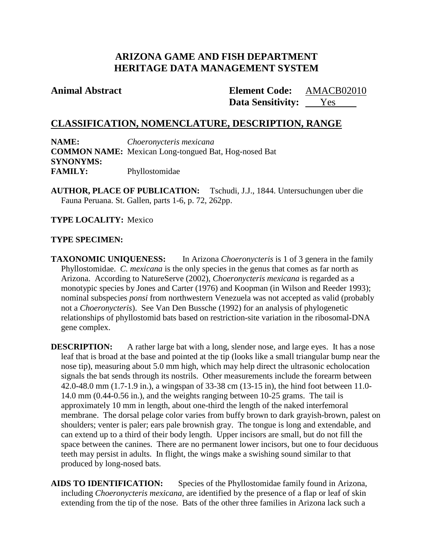# **ARIZONA GAME AND FISH DEPARTMENT HERITAGE DATA MANAGEMENT SYSTEM**

# **Animal Abstract Element Code:**

Data Sensitivity: <u>Yes</u> AMACB02010

# **CLASSIFICATION, NOMENCLATURE, DESCRIPTION, RANGE**

**NAME:** *Choeronycteris mexicana* **COMMON NAME:** Mexican Long-tongued Bat, Hog-nosed Bat **SYNONYMS: FAMILY:** Phyllostomidae

**AUTHOR, PLACE OF PUBLICATION:** Tschudi, J.J., 1844. Untersuchungen uber die Fauna Peruana. St. Gallen, parts 1-6, p. 72, 262pp.

**TYPE LOCALITY:** Mexico

## **TYPE SPECIMEN:**

**TAXONOMIC UNIQUENESS:** In Arizona *Choeronycteris* is 1 of 3 genera in the family Phyllostomidae. *C. mexicana* is the only species in the genus that comes as far north as Arizona. According to NatureServe (2002), *Choeronycteris mexicana* is regarded as a monotypic species by Jones and Carter (1976) and Koopman (in Wilson and Reeder 1993); nominal subspecies *ponsi* from northwestern Venezuela was not accepted as valid (probably not a *Choeronycteris*). See Van Den Bussche (1992) for an analysis of phylogenetic relationships of phyllostomid bats based on restriction-site variation in the ribosomal-DNA gene complex.

**DESCRIPTION:** A rather large bat with a long, slender nose, and large eyes. It has a nose leaf that is broad at the base and pointed at the tip (looks like a small triangular bump near the nose tip), measuring about 5.0 mm high, which may help direct the ultrasonic echolocation signals the bat sends through its nostrils. Other measurements include the forearm between 42.0-48.0 mm (1.7-1.9 in.), a wingspan of 33-38 cm (13-15 in), the hind foot between 11.0- 14.0 mm (0.44-0.56 in.), and the weights ranging between 10-25 grams. The tail is approximately 10 mm in length, about one-third the length of the naked interfemoral membrane. The dorsal pelage color varies from buffy brown to dark grayish-brown, palest on shoulders; venter is paler; ears pale brownish gray. The tongue is long and extendable, and can extend up to a third of their body length. Upper incisors are small, but do not fill the space between the canines. There are no permanent lower incisors, but one to four deciduous teeth may persist in adults. In flight, the wings make a swishing sound similar to that produced by long-nosed bats.

**AIDS TO IDENTIFICATION:** Species of the Phyllostomidae family found in Arizona, including *Choeronycteris mexicana,* are identified by the presence of a flap or leaf of skin extending from the tip of the nose. Bats of the other three families in Arizona lack such a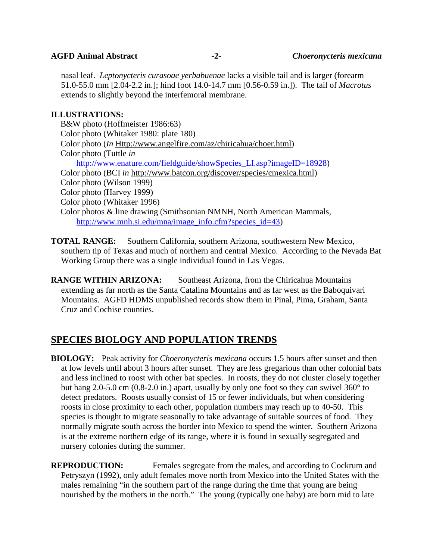nasal leaf. *Leptonycteris curasoae yerbabuenae* lacks a visible tail and is larger (forearm 51.0-55.0 mm [2.04-2.2 in.]; hind foot 14.0-14.7 mm [0.56-0.59 in.]). The tail of *Macrotus* extends to slightly beyond the interfemoral membrane.

## **ILLUSTRATIONS:**

B&W photo (Hoffmeister 1986:63) Color photo (Whitaker 1980: plate 180) Color photo (*In* [Http://www.angelfire.com/az/chiricahua/choer.html\)](http://www.angelfire.com/az/chiricahua/choer.html) Color photo (Tuttle *in* Color photo (BCI *in* [http://www.batcon.org/discover/species/cmexica.html\)](http://www.batcon.org/discover/species/cmexica.html) [http://www.enature.com/fieldguide/showSpecies\\_LI.asp?imageID=18928\)](http://www.enature.com/fieldguide/showSpecies_LI.asp?imageID=18928) Color photo (Wilson 1999) Color photo (Harvey 1999) Color photo (Whitaker 1996) Color photos & line drawing (Smithsonian NMNH, North American Mammals, [http://www.mnh.si.edu/mna/image\\_info.cfm?species\\_id=43\)](http://www.mnh.si.edu/mna/image_info.cfm?species_id=43)

- **TOTAL RANGE:** Southern California, southern Arizona, southwestern New Mexico, southern tip of Texas and much of northern and central Mexico. According to the Nevada Bat Working Group there was a single individual found in Las Vegas.
- **RANGE WITHIN ARIZONA:** Southeast Arizona, from the Chiricahua Mountains extending as far north as the Santa Catalina Mountains and as far west as the Baboquivari Mountains. AGFD HDMS unpublished records show them in Pinal, Pima, Graham, Santa Cruz and Cochise counties.

# **SPECIES BIOLOGY AND POPULATION TRENDS**

**BIOLOGY:** Peak activity for *Choeronycteris mexicana* occurs 1.5 hours after sunset and then at low levels until about 3 hours after sunset. They are less gregarious than other colonial bats and less inclined to roost with other bat species. In roosts, they do not cluster closely together but hang 2.0-5.0 cm (0.8-2.0 in.) apart, usually by only one foot so they can swivel 360° to detect predators. Roosts usually consist of 15 or fewer individuals, but when considering roosts in close proximity to each other, population numbers may reach up to 40-50. This species is thought to migrate seasonally to take advantage of suitable sources of food. They normally migrate south across the border into Mexico to spend the winter. Southern Arizona is at the extreme northern edge of its range, where it is found in sexually segregated and nursery colonies during the summer.

**REPRODUCTION:** Females segregate from the males, and according to Cockrum and Petryszyn (1992), only adult females move north from Mexico into the United States with the males remaining "in the southern part of the range during the time that young are being nourished by the mothers in the north." The young (typically one baby) are born mid to late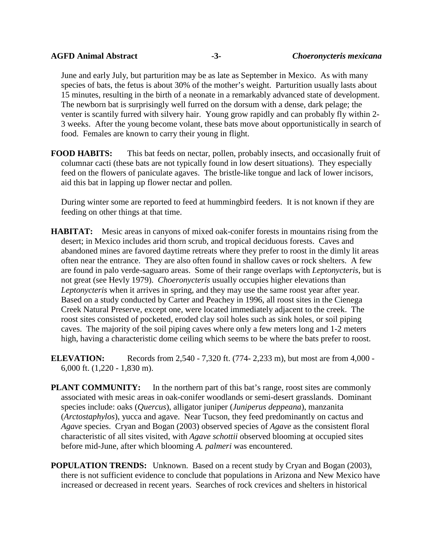June and early July, but parturition may be as late as September in Mexico. As with many species of bats, the fetus is about 30% of the mother's weight. Parturition usually lasts about 15 minutes, resulting in the birth of a neonate in a remarkably advanced state of development. The newborn bat is surprisingly well furred on the dorsum with a dense, dark pelage; the venter is scantily furred with silvery hair. Young grow rapidly and can probably fly within 2- 3 weeks. After the young become volant, these bats move about opportunistically in search of food. Females are known to carry their young in flight.

**FOOD HABITS:** This bat feeds on nectar, pollen, probably insects, and occasionally fruit of columnar cacti (these bats are not typically found in low desert situations). They especially feed on the flowers of paniculate agaves. The bristle-like tongue and lack of lower incisors, aid this bat in lapping up flower nectar and pollen.

During winter some are reported to feed at hummingbird feeders. It is not known if they are feeding on other things at that time.

- **HABITAT:** Mesic areas in canyons of mixed oak-conifer forests in mountains rising from the desert; in Mexico includes arid thorn scrub, and tropical deciduous forests. Caves and abandoned mines are favored daytime retreats where they prefer to roost in the dimly lit areas often near the entrance. They are also often found in shallow caves or rock shelters. A few are found in palo verde-saguaro areas. Some of their range overlaps with *Leptonycteris*, but is not great (see Hevly 1979). *Choeronycteris* usually occupies higher elevations than *Leptonycteris* when it arrives in spring, and they may use the same roost year after year. Based on a study conducted by Carter and Peachey in 1996, all roost sites in the Cienega Creek Natural Preserve, except one, were located immediately adjacent to the creek. The roost sites consisted of pocketed, eroded clay soil holes such as sink holes, or soil piping caves. The majority of the soil piping caves where only a few meters long and 1-2 meters high, having a characteristic dome ceiling which seems to be where the bats prefer to roost.
- **ELEVATION:** Records from 2,540 7,320 ft. (774- 2,233 m), but most are from 4,000 -6,000 ft. (1,220 - 1,830 m).
- **PLANT COMMUNITY:** In the northern part of this bat's range, roost sites are commonly associated with mesic areas in oak-conifer woodlands or semi-desert grasslands. Dominant species include: oaks (*Quercus*), alligator juniper (*Juniperus deppeana*), manzanita (*Arctostaphylos*), yucca and agave. Near Tucson, they feed predominantly on cactus and *Agave* species. Cryan and Bogan (2003) observed species of *Agave* as the consistent floral characteristic of all sites visited, with *Agave schottii* observed blooming at occupied sites before mid-June, after which blooming *A. palmeri* was encountered.
- **POPULATION TRENDS:** Unknown. Based on a recent study by Cryan and Bogan (2003), there is not sufficient evidence to conclude that populations in Arizona and New Mexico have increased or decreased in recent years. Searches of rock crevices and shelters in historical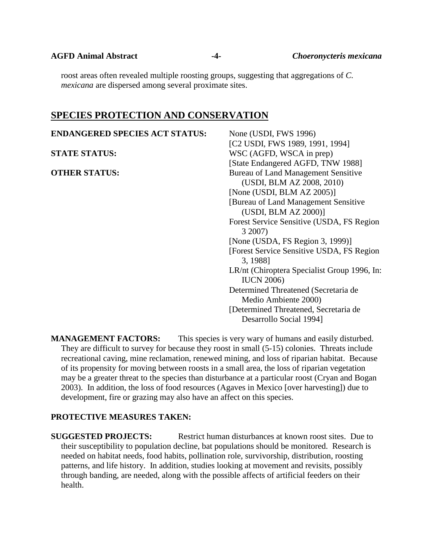**AGFD Animal Abstract -4-** *Choeronycteris mexicana*

roost areas often revealed multiple roosting groups, suggesting that aggregations of *C. mexicana* are dispersed among several proximate sites.

## **SPECIES PROTECTION AND CONSERVATION**

| <b>ENDANGERED SPECIES ACT STATUS:</b> | None (USDI, FWS 1996)                        |
|---------------------------------------|----------------------------------------------|
|                                       | [C2 USDI, FWS 1989, 1991, 1994]              |
| <b>STATE STATUS:</b>                  | WSC (AGFD, WSCA in prep)                     |
|                                       | [State Endangered AGFD, TNW 1988]            |
| <b>OTHER STATUS:</b>                  | <b>Bureau of Land Management Sensitive</b>   |
|                                       | (USDI, BLM AZ 2008, 2010)                    |
|                                       | [None (USDI, BLM $AZ 2005$ )]                |
|                                       | [Bureau of Land Management Sensitive]        |
|                                       | (USDI, BLM AZ 2000)]                         |
|                                       | Forest Service Sensitive (USDA, FS Region    |
|                                       | 3 2007)                                      |
|                                       | [None (USDA, FS Region 3, 1999)]             |
|                                       | [Forest Service Sensitive USDA, FS Region]   |
|                                       | 3, 1988]                                     |
|                                       | LR/nt (Chiroptera Specialist Group 1996, In: |
|                                       | <b>IUCN 2006)</b>                            |
|                                       | Determined Threatened (Secretaria de         |
|                                       | Medio Ambiente 2000)                         |
|                                       | [Determined Threatened, Secretaria de        |
|                                       | Desarrollo Social 1994]                      |

**MANAGEMENT FACTORS:** This species is very wary of humans and easily disturbed. They are difficult to survey for because they roost in small (5-15) colonies. Threats include recreational caving, mine reclamation, renewed mining, and loss of riparian habitat. Because of its propensity for moving between roosts in a small area, the loss of riparian vegetation may be a greater threat to the species than disturbance at a particular roost (Cryan and Bogan 2003). In addition, the loss of food resources (Agaves in Mexico [over harvesting]) due to development, fire or grazing may also have an affect on this species.

### **PROTECTIVE MEASURES TAKEN:**

**SUGGESTED PROJECTS:** Restrict human disturbances at known roost sites. Due to their susceptibility to population decline, bat populations should be monitored. Research is needed on habitat needs, food habits, pollination role, survivorship, distribution, roosting patterns, and life history. In addition, studies looking at movement and revisits, possibly through banding, are needed, along with the possible affects of artificial feeders on their health.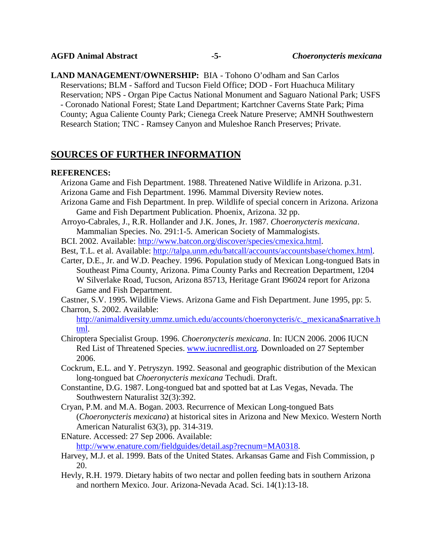**LAND MANAGEMENT/OWNERSHIP:** BIA - Tohono O'odham and San Carlos Reservations; BLM - Safford and Tucson Field Office; DOD - Fort Huachuca Military Reservation; NPS - Organ Pipe Cactus National Monument and Saguaro National Park; USFS - Coronado National Forest; State Land Department; Kartchner Caverns State Park; Pima County; Agua Caliente County Park; Cienega Creek Nature Preserve; AMNH Southwestern Research Station; TNC - Ramsey Canyon and Muleshoe Ranch Preserves; Private.

# **SOURCES OF FURTHER INFORMATION**

### **REFERENCES:**

- Arizona Game and Fish Department. 1988. Threatened Native Wildlife in Arizona. p.31. Arizona Game and Fish Department. 1996. Mammal Diversity Review notes.
- Arizona Game and Fish Department. In prep. Wildlife of special concern in Arizona. Arizona Game and Fish Department Publication. Phoenix, Arizona. 32 pp.
- Arroyo-Cabrales, J., R.R. Hollander and J.K. Jones, Jr. 1987. *Choeronycteris mexicana*. Mammalian Species. No. 291:1-5. American Society of Mammalogists.
- BCI. 2002. Available: [http://www.batcon.org/discover/species/cmexica.html.](http://www.batcon.org/discover/species/cmexica.html)
- Best, T.L. et al. Available: [http://talpa.unm.edu/batcall/accounts/accountsbase/chomex.html.](http://talpa.unm.edu/batcall/accounts/accountsbase/chomex.html)
- Carter, D.E., Jr. and W.D. Peachey. 1996. Population study of Mexican Long-tongued Bats in Southeast Pima County, Arizona. Pima County Parks and Recreation Department, 1204 W Silverlake Road, Tucson, Arizona 85713, Heritage Grant I96024 report for Arizona Game and Fish Department.
- Castner, S.V. 1995. Wildlife Views. Arizona Game and Fish Department. June 1995, pp: 5. Charron, S. 2002. Available:

[http://animaldiversity.ummz.umich.edu/accounts/choeronycteris/c.\\_mexicana\\$narrative.h](http://animaldiversity.ummz.umich.edu/accounts/choeronycteris/c._mexicana$narrative.html) [tml.](http://animaldiversity.ummz.umich.edu/accounts/choeronycteris/c._mexicana$narrative.html)

- Chiroptera Specialist Group. 1996. *Choeronycteris mexicana*. In: IUCN 2006. 2006 IUCN Red List of Threatened Species. [www.iucnredlist.org.](http://www.iucnredlist.org/) Downloaded on 27 September 2006.
- Cockrum, E.L. and Y. Petryszyn. 1992. Seasonal and geographic distribution of the Mexican long-tongued bat *Choeronycteris mexicana* Techudi. Draft.
- Constantine, D.G. 1987. Long-tongued bat and spotted bat at Las Vegas, Nevada. The Southwestern Naturalist 32(3):392.
- Cryan, P.M. and M.A. Bogan. 2003. Recurrence of Mexican Long-tongued Bats (*Choeronycteris mexicana*) at historical sites in Arizona and New Mexico. Western North American Naturalist 63(3), pp. 314-319.
- ENature. Accessed: 27 Sep 2006. Available: [http://www.enature.com/fieldguides/detail.asp?recnum=MA0318.](http://www.enature.com/fieldguides/detail.asp?recnum=MA0318)
- Harvey, M.J. et al. 1999. Bats of the United States. Arkansas Game and Fish Commission, p 20.
- Hevly, R.H. 1979. Dietary habits of two nectar and pollen feeding bats in southern Arizona and northern Mexico. Jour. Arizona-Nevada Acad. Sci. 14(1):13-18.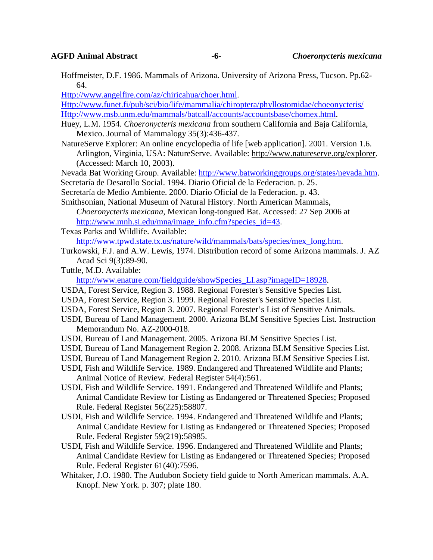Hoffmeister, D.F. 1986. Mammals of Arizona. University of Arizona Press, Tucson. Pp.62- 64.

[Http://www.angelfire.com/az/chiricahua/choer.html.](http://www.angelfire.com/az/chiricahua/choer.html)

[Http://www.funet.fi/pub/sci/bio/life/mammalia/chiroptera/phyllostomidae/choeonycteris/](http://www.funet.fi/pub/sci/bio/life/mammalia/chiroptera/phyllostomidae/choeonycteris/) [Http://www.msb.unm.edu/mammals/batcall/accounts/accountsbase/chomex.html.](http://www.msb.unm.edu/mammals/batcall/accounts/accountsbase/chomex.html)

- Huey, L.M. 1954. *Choeronycteris mexicana* from southern California and Baja California, Mexico. Journal of Mammalogy 35(3):436-437.
- NatureServe Explorer: An online encyclopedia of life [web application]. 2001. Version 1.6. Arlington, Virginia, USA: NatureServe. Available: [http://www.natureserve.org/explorer.](http://www.natureserve.org/explorer) (Accessed: March 10, 2003).
- Nevada Bat Working Group. Available: [http://www.batworkinggroups.org/states/nevada.htm.](http://www.batworkinggroups.org/states/nevada.htm)
- Secretaría de Desarollo Social. 1994. Diario Oficial de la Federacion. p. 25.
- Secretaría de Medio Ambiente. 2000. Diario Oficial de la Federacion. p. 43.
- Smithsonian, National Museum of Natural History. North American Mammals, *Choeronycteris mexicana*, Mexican long-tongued Bat. Accessed: 27 Sep 2006 at [http://www.mnh.si.edu/mna/image\\_info.cfm?species\\_id=43.](http://www.mnh.si.edu/mna/image_info.cfm?species_id=43)
- Texas Parks and Wildlife. Available: [http://www.tpwd.state.tx.us/nature/wild/mammals/bats/species/mex\\_long.htm.](http://www.tpwd.state.tx.us/nature/wild/mammals/bats/species/mex_long.htm)
- Turkowski, F.J. and A.W. Lewis, 1974. Distribution record of some Arizona mammals. J. AZ Acad Sci 9(3):89-90.
- Tuttle, M.D. Available:

[http://www.enature.com/fieldguide/showSpecies\\_LI.asp?imageID=18928.](http://www.enature.com/fieldguide/showSpecies_LI.asp?imageID=18928)

- USDA, Forest Service, Region 3. 1988. Regional Forester's Sensitive Species List.
- USDA, Forest Service, Region 3. 1999. Regional Forester's Sensitive Species List.
- USDA, Forest Service, Region 3. 2007. Regional Forester's List of Sensitive Animals.
- USDI, Bureau of Land Management. 2000. Arizona BLM Sensitive Species List. Instruction Memorandum No. AZ-2000-018.
- USDI, Bureau of Land Management. 2005. Arizona BLM Sensitive Species List.
- USDI, Bureau of Land Management Region 2. 2008. Arizona BLM Sensitive Species List.
- USDI, Bureau of Land Management Region 2. 2010. Arizona BLM Sensitive Species List.
- USDI, Fish and Wildlife Service. 1989. Endangered and Threatened Wildlife and Plants; Animal Notice of Review. Federal Register 54(4):561.
- USDI, Fish and Wildlife Service. 1991. Endangered and Threatened Wildlife and Plants; Animal Candidate Review for Listing as Endangered or Threatened Species; Proposed Rule. Federal Register 56(225):58807.
- USDI, Fish and Wildlife Service. 1994. Endangered and Threatened Wildlife and Plants; Animal Candidate Review for Listing as Endangered or Threatened Species; Proposed Rule. Federal Register 59(219):58985.
- USDI, Fish and Wildlife Service. 1996. Endangered and Threatened Wildlife and Plants; Animal Candidate Review for Listing as Endangered or Threatened Species; Proposed Rule. Federal Register 61(40):7596.
- Whitaker, J.O. 1980. The Audubon Society field guide to North American mammals. A.A. Knopf. New York. p. 307; plate 180.